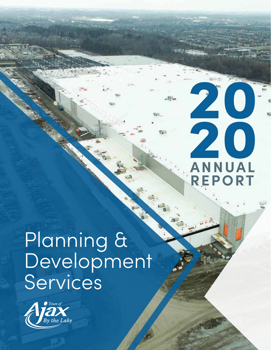# 20 20 **ANNUAL REPORT**

# Planning & Development Services

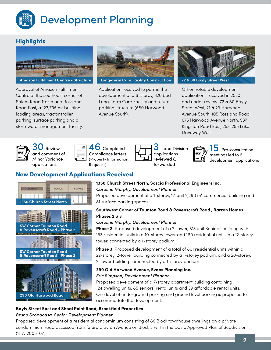

#### **Highlights**



Approval of Amazon Fulfillment Centre at the southeast corner of Salem Road North and Rossland Road East, a 123,795  $m<sup>2</sup>$  building, loading areas, tractor trailer parking, surface parking and a stormwater management facility.



Application received to permit the development of a 6-storey, 320 bed Long-Term Care Facility and future parking structure (680 Harwood Avenue South).



Other notable development applications received in 2020 and under review: 72 & 80 Bayly Street West, 21 & 23 Harwood Avenue South, 105 Rossland Road, 675 Harwood Avenue North, 537 Kingston Road East, 253-255 Lake Driveway West.







**b** Completed Compliance letters (Property Information Requests)

| Land D      |
|-------------|
| application |
| reviewed &  |
| forwarded   |

and Division cations wed &



Pre-consultation meetings led to 6 development applications

### New Development Applications Received





**290 Old Harwood Road**

#### **1350 Church Street North, Soscia Professional Engineers Inc.**  *Caroline Murphy, Development Planner*

Proposed development of a 1-storey, 17-unit 2,290 m<sup>2</sup> commercial building and 81 surface parking spaces.

#### **Southwest Corner of Taunton Road & Ravenscroft Road , Barron Homes Phases 2 & 3**

#### *Caroline Murphy, Development Planner*

**Phase 2:** Proposed development of a 2-tower, 313 unit Seniors' building with 153 residential units in a 10-storey tower and 160 residential units in a 12-storey tower, connected by a 1-storey podium.

**Phase 3:** Proposed development of a total of 801 residential units within a 22-storey, 2-tower building connected by a 1-storey podium, and a 20-storey, 2-tower building comnnected by a 1-storey podium.

#### **290 Old Harwood Avenue, Evans Planning Inc.** *Eric Simpson, Development Planner*

Proposed development of a 7-storey apartment building containing 124 dwelling units, 85 seniors' rental units and 39 affordable rental units. One level of underground parking and ground level parking is proposed to accommodate the development.

#### **Bayly Street East and Shoal Point Road, Brookfield Properties**

#### *Bruno Scopacasa, Senior Development Planner*

Proposed development of a residential condominium consisting of 86 Block townhouse dwellings on a private condominium road accessed from future Clayton Avenue on Block 3 within the Daste Approved Plan of Subdivision (S-A-2005-07).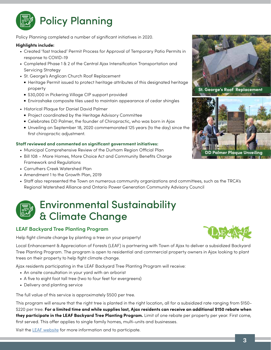

Policy Planning completed a number of significant initiatives in 2020.

#### **Highlights include:**

- Created 'fast tracked' Permit Process for Approval of Temporary Patio Permits in response to COVID-19
- Completed Phase 1 & 2 of the Central Ajax Intensification Transportation and Servicing Strategy
- St. George's Anglican Church Roof Replacement
	- Heritage Permit issued to protect heritage attributes of this designated heritage property
	- \$30,000 in Pickering Village CIP support provided
	- Enviroshake composite tiles used to maintain appearance of cedar shingles
- Historical Plaque for Daniel David Palmer
	- Project coordinated by the Heritage Advisory Committee
	- Celebrates DD Palmer, the founder of Chiropractic, who was born in Ajax
	- Unveiling on September 18, 2020 commemorated 125 years (to the day) since the first chiropractic adjustment.

#### **Staff reviewed and commented on significant government initiatives:**

- Municipal Comprehensive Review of the Durham Region Official Plan
- Bill 108 More Homes, More Choice Act and Community Benefits Charge Framework and Regulations
- Carruthers Creek Watershed Plan
- Amendment 1 to the Growth Plan, 2019
- Staff also represented the Town on numerous community organizations and committees, such as the TRCA's Regional Watershed Alliance and Ontario Power Generation Community Advisory Council

### Environmental Sustainability & Climate Change

#### **LEAF Backyard Tree Planting Program**

Help fight climate change by planting a tree on your property!

Local Enhancement & Appreciation of Forests (LEAF) is partnering with Town of Ajax to deliver a subsidized Backyard Tree Planting Program. The program is open to residential and commercial property owners in Ajax looking to plant trees on their property to help fight climate change.

Ajax residents participating in the LEAF Backyard Tree Planting Program will receive:

- An onsite consultation in your yard with an arborist
- A five to eight foot tall tree (two to four feet for evergreens)
- Delivery and planting service

The full value of this service is approximately \$500 per tree.

This program will ensure that the right tree is planted in the right location, all for a subsidized rate ranging from \$150- \$220 per tree. **For a limited time and while supplies last, Ajax residents can receive an additional \$150 rebate when they participate in the LEAF Backyard Tree Planting Program.** Limit of one rebate per property per year. First come, first served. This offer applies to single family homes, multi-units and businesses.

Visit the [LEAF website](https://www.yourleaf.org/ajax-homeowners) for more information and to participate.



**St. George's Roof Replacement**



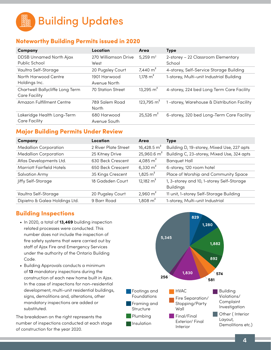Building Updates 鼺

#### Noteworthy Building Permits issued in 2020

| Company                                                 | Location                     | Area                 | <b>Type</b>                                  |
|---------------------------------------------------------|------------------------------|----------------------|----------------------------------------------|
| <b>DDSB Unnamed North Ajax</b><br>Public School         | 270 Williamson Drive<br>West | 5,259 $m2$           | 2-storey - 22 Classroom Elementary<br>School |
| Vaultra Self-Storage                                    | 20 Pugsley Court             | $7,440 \text{ m}^2$  | 4-storey, Self-Service Storage Building      |
| North Harwood Centre<br>Holdings Inc.                   | 1901 Harwood<br>Avenue North | 1,178 $m2$           | 1-storey, Multi-unit Industrial Building     |
| Chartwell Ballycliffe Long Term<br><b>Care Facility</b> | <b>70 Station Street</b>     | 13,295 $m2$          | 4-storey, 224 bed Long Term Care Facility    |
| Amazon Fulfillment Centre                               | 789 Salem Road<br>North      | 123,795 $m2$         | 1-storey, Warehouse & Distribution Facility  |
| Lakeridge Health Long-Term<br><b>Care Facility</b>      | 680 Harwood<br>Avenue South  | $25,526 \text{ m}^2$ | 6-storey, 320 bed Long-Term Care Facility    |

#### Major Building Permits Under Review

| Company                          | Location             | Area                  | <b>Type</b>                                |
|----------------------------------|----------------------|-----------------------|--------------------------------------------|
| <b>Medallion Corporation</b>     | 2 River Plate Street | 16,428.5 $m2$         | Building D, 19-storey, Mixed Use, 227 apts |
| <b>Medallion Corporation</b>     | 25 Kitney Drive      | 25,960.6 $m2$         | Building C, 23-storey, Mixed Use, 324 apts |
| Atlas Developments Ltd.          | 630 Beck Crescent    | 4,085 $m2$            | <b>Banquet Hall</b>                        |
| <b>Marriott Fairfield Hotels</b> | 650 Beck Crescent    | 6,330 $m2$            | 6-storey, 120 room hotel                   |
| <b>Salvation Army</b>            | 35 Kings Crescent    | $1,825 \; \text{m}^2$ | Place of Worship and Community Space       |
| Jiffy Self-Storage               | 18 Gadsden Court     | 12,182 $m2$           | 1, 3-storey and 10, 1-storey Self-Storage  |
|                                  |                      |                       | <b>Buildings</b>                           |
| Vaultra Self-Storage             | 20 Pugsley Court     | 2,960 $m2$            | 11 unit, 1-storey Self-Storage Building    |
| Dipietro & Galea Holdings Ltd.   | 9 Barr Road          | $1,808 \text{ m}^2$   | 1-storey, Multi-unit Industrial            |
|                                  |                      |                       |                                            |

#### Building Inspections

- In 2020, a total of **13,469** building inspection related processes were conducted. This number does not include the inspection of fire safety systems that were carried out by staff of Ajax Fire and Emergency Services under the authority of the Ontario Building Code.
- Building Approvals conducts a minimum of **13** mandatory inspections during the construction of each new home built in Ajax. In the case of inspections for non-residential development, multi-unit residential buildings, signs, demolitions and, alterations, other mandatory inspections are added or substituted.

The breakdown on the right represents the number of inspections conducted at each stage of construction for the year 2020.

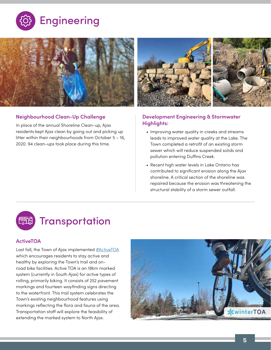



#### **Neighbourhood Clean-Up Challenge**

In place of the annual Shoreline Clean-up, Ajax residents kept Ajax clean by going out and picking up litter within their neighbourhoods from October 5 – 16, 2020. 94 clean-ups took place during this time.



#### **Development Engineering & Stormwater Highlights:**

- Improving water quality in creeks and streams leads to improved water quality at the Lake. The Town completed a retrofit of an existing storm sewer which will reduce suspended solids and pollution entering Duffins Creek.
- Recent high water levels in Lake Ontario has contributed to significant erosion along the Ajax shoreline. A critical section of the shoreline was repaired because the erosion was threatening the structural stability of a storm sewer outfall.



#### **ActiveTOA**

Last fall, the Town of Ajax implemented **[#ActiveTOA](https://www.ajax.ca/en/inside-townhall/cycling.aspx)** which encourages residents to stay active and healthy by exploring the Town's trail and onroad bike facilities. Active TOA is an 18km marked system (currently in South Ajax) for active types of rolling, primarily biking. It consists of 252 pavement markings and fourteen wayfinding signs directing to the waterfront. This trail system celebrates the Town's existing neighbourhood features using markings reflecting the flora and fauna of the area. Transportation staff will explore the feasibility of extending the marked system to North Ajax.

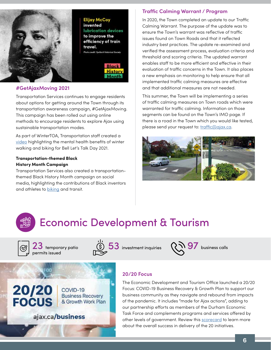

**Elijay McCoy** invented lubrication devices to improve the efficiency of train travel. **Thata credit: Youllanti Historical So** 

> History Month

#### **#GetAjaxMoving 2021**

Transportation Services continues to engage residents about options for getting around the Town through its transportation awareness campaign, #GetAjaxMoving. This campaign has been rolled out using online methods to encourage residents to explore Ajax using sustainable transportation modes.

As part of WinterTOA, Transportation staff created a [video](https://twitter.com/TownOfAjax/status/1354835747333931008) highlighting the mental health benefits of winter walking and biking for Bell Let's Talk Day 2021.

#### **Transportation-themed Black History Month Campaign**

Transportation Services also created a transportationthemed Black History Month campaign on social media, highlighting the contributions of Black inventors and athletes to **biking** and transit.

COVID-19

**Business Recovery** 

& Growth Work Plan

#### **Traffic Calming Warrant / Program**

In 2020, the Town completed an update to our Traffic Calming Warrant. The purpose of the update was to ensure the Town's warrant was reflective of traffic issues found on Town Roads and that it reflected industry best practices. The update re-examined and verified the assessment process, evaluation criteria and threshold and scoring criteria. The updated warrant enables staff to be more efficient and effective in their evaluation of traffic concerns in the Town. It also places a new emphasis on monitoring to help ensure that all implemented traffic calming measures are effective and that additional measures are not needed.

This summer, the Town will be implementing a series of traffic calming measures on Town roads which were warranted for traffic calming. Information on those segments can be found on the Town's IMO page. If there is a road in the Town which you would like tested, please send your request to: [traffic@ajax.ca.](mailto:traffic%40ajax.ca?subject=)



### Economic Development & Tourism



20/20

**FOCUS** 

23 temporary patio permits issued

ajax.ca/business



 $53$  investment inquiries  $\sqrt{397}$  business calls



#### **20/20 Focus**

The Economic Development and Tourism Office launched a 20/20 Focus: COVID-19 Business Recovery & Growth Plan to support our business community as they navigate and rebound from impacts of the pandemic. It includes "made for Ajax actions", adding to our partnership efforts as members of the Durham Economic Task Force and complements programs and services offered by other levels of government. Review this [scorecard](https://www.ajax.ca/en/business-and-growth/resources/Documents/2020-Scorecard-Final-Final.pdf) to learn more about the overall success in delivery of the 20 initiatives.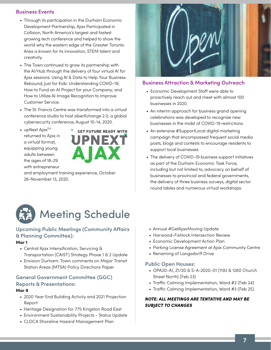#### **Business Events**

- Through its participation in the Durham Economic Development Partnership, Ajax Participated in Collision, North America's largest and fastest growing tech conference and helped to show the world why the eastern edge of the Greater Toronto Area is known for its innovation, STEM talent and creativity.
- The Town continued to grow its partnership with the AI/Hub through the delivery of four virtual AI for Ajax sessions: Using AI & Data to Help Your Business Rebound; Just for Kids: Understanding COVID-19; How to Fund an AI Project for your Company; and How to Utilize AI Image Recognition to Improve Customer Service.
- The St. Francis Centre was transformed into a virtual conference studio to host siberXchange 2.0, a global cybersecurity conference, August 10-14, 2020.
- $\bullet$  upNext Ajax<sup>TM</sup> returned to Ajax in a virtual format, equipping young adults between the ages of 18-29 with entrepreneur



and employment training experience, October 26-November 13, 2020.



#### **Business Attraction & Marketing Outreach**

- Economic Development Staff were able to proactively reach out and meet with almost 100 businesses in 2020.
- An interim approach for business grand opening celebrations was developed to recognize new businesses in the midst of COVID-19 restrictions.
- An extensive #SupportLocal digital marketing campaign that encompassed frequent social media posts, blogs and contests to encourage residents to support local businesses.
- The delivery of COVID-19 business support initiatives as part of the Durham Economic Task Force, including but not limited to, advocacy on behalf of businesses to provincial and federal governments, the delivery of three business surveys, digital sector round tables and numerous virtual workshops.



#### **Upcoming Public Meetings (Community Affairs & Planning Committee):**

#### **Mar 1**

- Central Ajax Intensification, Servicing & Transportation (CAIST) Strategy Phase 1 & 2 Update
- Envision Durham: Town comments on Major Transit Station Areas (MTSA) Policy Directions Paper

#### **General Government Committee (GGC) Reports & Presentations:**

#### **Mar 8**

- 2020 Year End Building Activity and 2021 Projection Report
- Heritage Designation for 775 Kingston Road East
- Environment Sustainability Projects Status Update
- CLOCA Shoreline Hazard Management Plan
- Annual #GetAjaxMoving Update
- Harwood-Fishlock Intersection Review
- Economic Development Action Plan
- Parking License Agreement at Ajax Community Centre
- Renaming of Langsdorff Drive

#### **Public Open Houses:**

- OPA20-A1, Z1/20 & S-A-2020-01 (1192 & 1260 Church Street North) (Feb 23)
- Traffic Calming Implementation, Ward #2 (Feb 24)
- Traffic Calming Implementation, Ward #3 (Feb 25)

#### *NOTE: ALL MEETINGS ARE TENTATIVE AND MAY BE SUBJECT TO CHANGES*